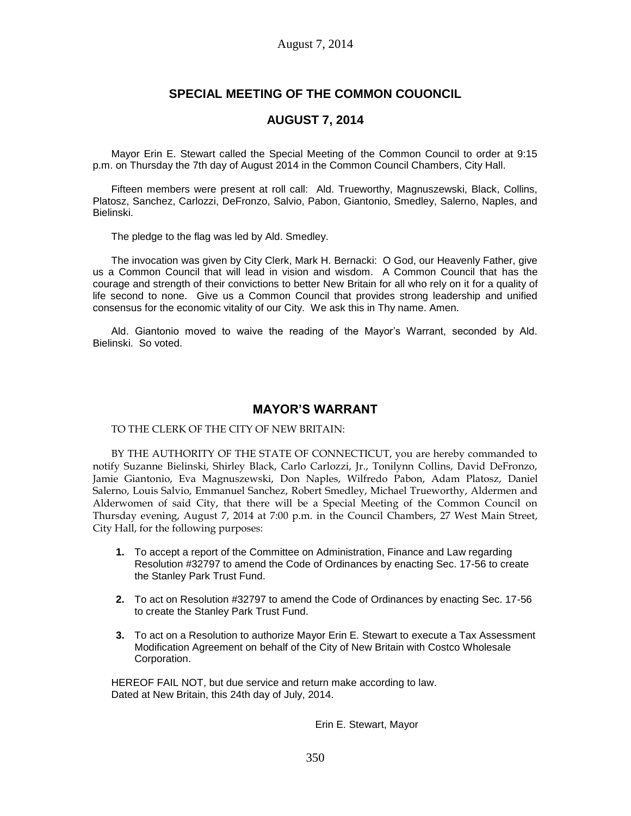# **SPECIAL MEETING OF THE COMMON COUONCIL**

## **AUGUST 7, 2014**

Mayor Erin E. Stewart called the Special Meeting of the Common Council to order at 9:15 p.m. on Thursday the 7th day of August 2014 in the Common Council Chambers, City Hall.

Fifteen members were present at roll call: Ald. Trueworthy, Magnuszewski, Black, Collins, Platosz, Sanchez, Carlozzi, DeFronzo, Salvio, Pabon, Giantonio, Smedley, Salerno, Naples, and Bielinski.

The pledge to the flag was led by Ald. Smedley.

The invocation was given by City Clerk, Mark H. Bernacki: O God, our Heavenly Father, give us a Common Council that will lead in vision and wisdom. A Common Council that has the courage and strength of their convictions to better New Britain for all who rely on it for a quality of life second to none. Give us a Common Council that provides strong leadership and unified consensus for the economic vitality of our City. We ask this in Thy name. Amen.

Ald. Giantonio moved to waive the reading of the Mayor's Warrant, seconded by Ald. Bielinski. So voted.

### **MAYOR'S WARRANT**

TO THE CLERK OF THE CITY OF NEW BRITAIN:

BY THE AUTHORITY OF THE STATE OF CONNECTICUT, you are hereby commanded to notify Suzanne Bielinski, Shirley Black, Carlo Carlozzi, Jr., Tonilynn Collins, David DeFronzo, Jamie Giantonio, Eva Magnuszewski, Don Naples, Wilfredo Pabon, Adam Platosz, Daniel Salerno, Louis Salvio, Emmanuel Sanchez, Robert Smedley, Michael Trueworthy, Aldermen and Alderwomen of said City, that there will be a Special Meeting of the Common Council on Thursday evening, August 7, 2014 at 7:00 p.m. in the Council Chambers, 27 West Main Street, City Hall, for the following purposes:

- **1.** To accept a report of the Committee on Administration, Finance and Law regarding Resolution #32797 to amend the Code of Ordinances by enacting Sec. 17-56 to create the Stanley Park Trust Fund.
- **2.** To act on Resolution #32797 to amend the Code of Ordinances by enacting Sec. 17-56 to create the Stanley Park Trust Fund.
- **3.** To act on a Resolution to authorize Mayor Erin E. Stewart to execute a Tax Assessment Modification Agreement on behalf of the City of New Britain with Costco Wholesale Corporation.

HEREOF FAIL NOT, but due service and return make according to law. Dated at New Britain, this 24th day of July, 2014.

Erin E. Stewart, Mayor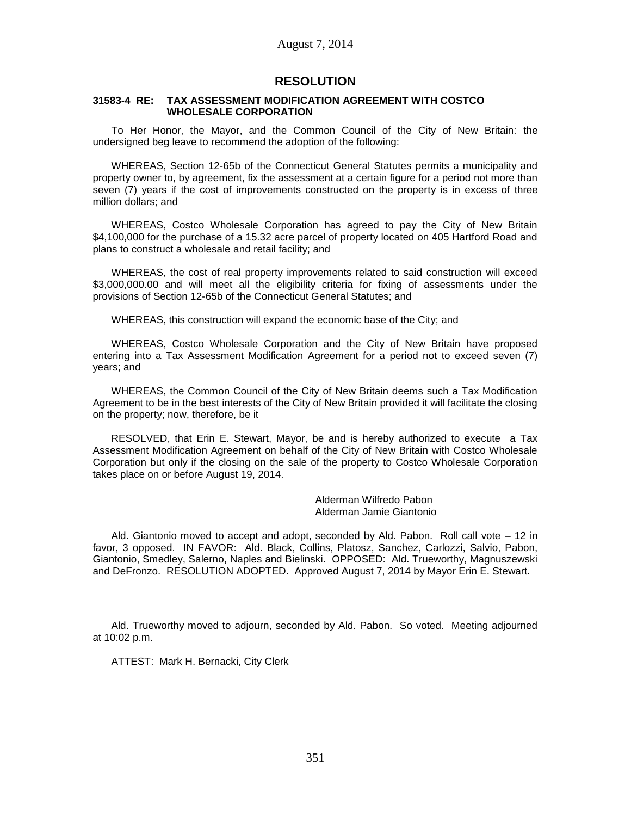### **RESOLUTION**

#### **31583-4 RE: TAX ASSESSMENT MODIFICATION AGREEMENT WITH COSTCO WHOLESALE CORPORATION**

To Her Honor, the Mayor, and the Common Council of the City of New Britain: the undersigned beg leave to recommend the adoption of the following:

WHEREAS, Section 12-65b of the Connecticut General Statutes permits a municipality and property owner to, by agreement, fix the assessment at a certain figure for a period not more than seven (7) years if the cost of improvements constructed on the property is in excess of three million dollars; and

WHEREAS, Costco Wholesale Corporation has agreed to pay the City of New Britain \$4,100,000 for the purchase of a 15.32 acre parcel of property located on 405 Hartford Road and plans to construct a wholesale and retail facility; and

WHEREAS, the cost of real property improvements related to said construction will exceed \$3,000,000.00 and will meet all the eligibility criteria for fixing of assessments under the provisions of Section 12-65b of the Connecticut General Statutes; and

WHEREAS, this construction will expand the economic base of the City; and

WHEREAS, Costco Wholesale Corporation and the City of New Britain have proposed entering into a Tax Assessment Modification Agreement for a period not to exceed seven (7) years; and

WHEREAS, the Common Council of the City of New Britain deems such a Tax Modification Agreement to be in the best interests of the City of New Britain provided it will facilitate the closing on the property; now, therefore, be it

RESOLVED, that Erin E. Stewart, Mayor, be and is hereby authorized to execute a Tax Assessment Modification Agreement on behalf of the City of New Britain with Costco Wholesale Corporation but only if the closing on the sale of the property to Costco Wholesale Corporation takes place on or before August 19, 2014.

> Alderman Wilfredo Pabon Alderman Jamie Giantonio

Ald. Giantonio moved to accept and adopt, seconded by Ald. Pabon. Roll call vote – 12 in favor, 3 opposed. IN FAVOR: Ald. Black, Collins, Platosz, Sanchez, Carlozzi, Salvio, Pabon, Giantonio, Smedley, Salerno, Naples and Bielinski. OPPOSED: Ald. Trueworthy, Magnuszewski and DeFronzo. RESOLUTION ADOPTED. Approved August 7, 2014 by Mayor Erin E. Stewart.

Ald. Trueworthy moved to adjourn, seconded by Ald. Pabon. So voted. Meeting adjourned at 10:02 p.m.

ATTEST: Mark H. Bernacki, City Clerk